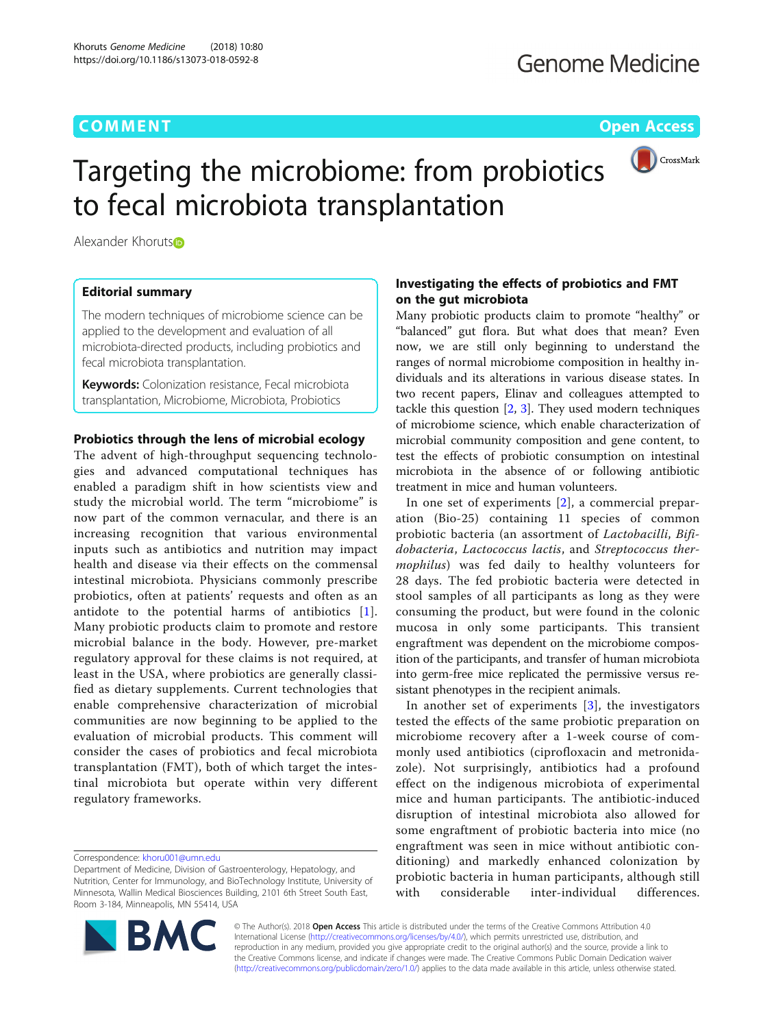# **COMMENT COMMENT COMMENT COMMENT**



# Targeting the microbiome: from probiotics to fecal microbiota transplantation

Alexander Khorut[s](http://orcid.org/0000-0002-3205-3188)<sup>®</sup>

# Editorial summary

The modern techniques of microbiome science can be applied to the development and evaluation of all microbiota-directed products, including probiotics and fecal microbiota transplantation.

**Keywords:** Colonization resistance, Fecal microbiota transplantation, Microbiome, Microbiota, Probiotics

# Probiotics through the lens of microbial ecology

The advent of high-throughput sequencing technologies and advanced computational techniques has enabled a paradigm shift in how scientists view and study the microbial world. The term "microbiome" is now part of the common vernacular, and there is an increasing recognition that various environmental inputs such as antibiotics and nutrition may impact health and disease via their effects on the commensal intestinal microbiota. Physicians commonly prescribe probiotics, often at patients' requests and often as an antidote to the potential harms of antibiotics [[1](#page-2-0)]. Many probiotic products claim to promote and restore microbial balance in the body. However, pre-market regulatory approval for these claims is not required, at least in the USA, where probiotics are generally classified as dietary supplements. Current technologies that enable comprehensive characterization of microbial communities are now beginning to be applied to the evaluation of microbial products. This comment will consider the cases of probiotics and fecal microbiota transplantation (FMT), both of which target the intestinal microbiota but operate within very different regulatory frameworks.

# Investigating the effects of probiotics and FMT on the gut microbiota

Many probiotic products claim to promote "healthy" or "balanced" gut flora. But what does that mean? Even now, we are still only beginning to understand the ranges of normal microbiome composition in healthy individuals and its alterations in various disease states. In two recent papers, Elinav and colleagues attempted to tackle this question  $[2, 3]$  $[2, 3]$  $[2, 3]$  $[2, 3]$ . They used modern techniques of microbiome science, which enable characterization of microbial community composition and gene content, to test the effects of probiotic consumption on intestinal microbiota in the absence of or following antibiotic treatment in mice and human volunteers.

In one set of experiments [\[2](#page-2-0)], a commercial preparation (Bio-25) containing 11 species of common probiotic bacteria (an assortment of Lactobacilli, Bifidobacteria, Lactococcus lactis, and Streptococcus thermophilus) was fed daily to healthy volunteers for 28 days. The fed probiotic bacteria were detected in stool samples of all participants as long as they were consuming the product, but were found in the colonic mucosa in only some participants. This transient engraftment was dependent on the microbiome composition of the participants, and transfer of human microbiota into germ-free mice replicated the permissive versus resistant phenotypes in the recipient animals.

In another set of experiments [[3](#page-2-0)], the investigators tested the effects of the same probiotic preparation on microbiome recovery after a 1-week course of commonly used antibiotics (ciprofloxacin and metronidazole). Not surprisingly, antibiotics had a profound effect on the indigenous microbiota of experimental mice and human participants. The antibiotic-induced disruption of intestinal microbiota also allowed for some engraftment of probiotic bacteria into mice (no engraftment was seen in mice without antibiotic conditioning) and markedly enhanced colonization by probiotic bacteria in human participants, although still with considerable inter-individual differences.



© The Author(s). 2018 **Open Access** This article is distributed under the terms of the Creative Commons Attribution 4.0 International License [\(http://creativecommons.org/licenses/by/4.0/](http://creativecommons.org/licenses/by/4.0/)), which permits unrestricted use, distribution, and reproduction in any medium, provided you give appropriate credit to the original author(s) and the source, provide a link to the Creative Commons license, and indicate if changes were made. The Creative Commons Public Domain Dedication waiver [\(http://creativecommons.org/publicdomain/zero/1.0/](http://creativecommons.org/publicdomain/zero/1.0/)) applies to the data made available in this article, unless otherwise stated.

Correspondence: [khoru001@umn.edu](mailto:khoru001@umn.edu)

Department of Medicine, Division of Gastroenterology, Hepatology, and Nutrition, Center for Immunology, and BioTechnology Institute, University of Minnesota, Wallin Medical Biosciences Building, 2101 6th Street South East, Room 3-184, Minneapolis, MN 55414, USA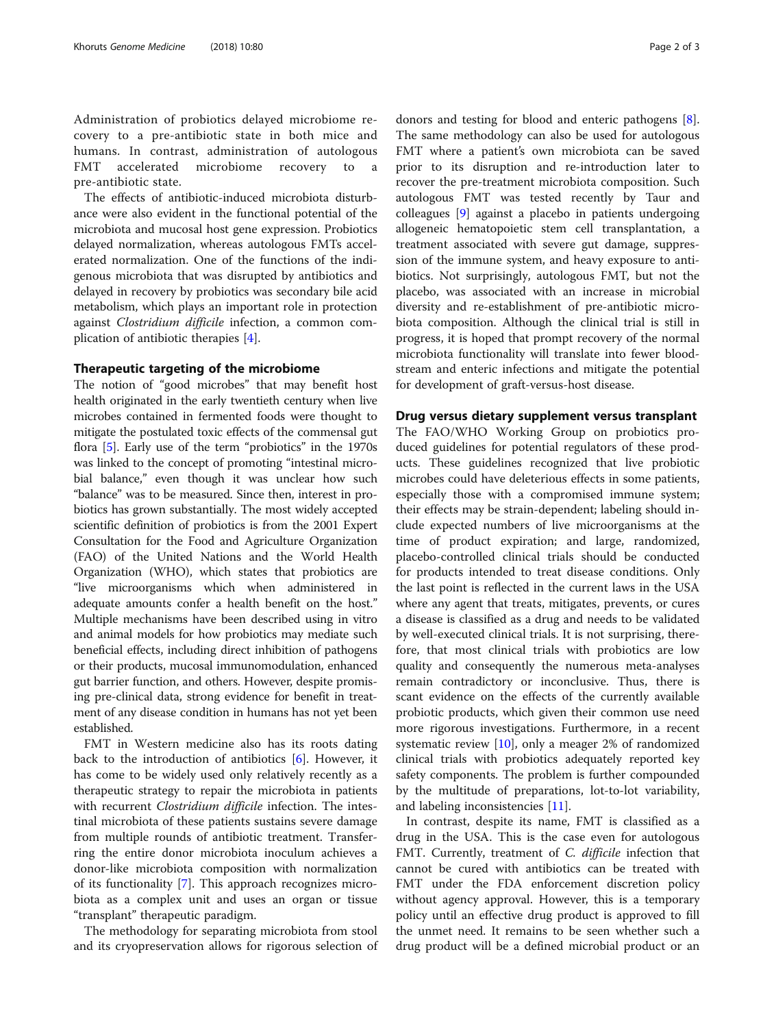Administration of probiotics delayed microbiome recovery to a pre-antibiotic state in both mice and humans. In contrast, administration of autologous FMT accelerated microbiome recovery to pre-antibiotic state.

The effects of antibiotic-induced microbiota disturbance were also evident in the functional potential of the microbiota and mucosal host gene expression. Probiotics delayed normalization, whereas autologous FMTs accelerated normalization. One of the functions of the indigenous microbiota that was disrupted by antibiotics and delayed in recovery by probiotics was secondary bile acid metabolism, which plays an important role in protection against Clostridium difficile infection, a common complication of antibiotic therapies [\[4](#page-2-0)].

## Therapeutic targeting of the microbiome

The notion of "good microbes" that may benefit host health originated in the early twentieth century when live microbes contained in fermented foods were thought to mitigate the postulated toxic effects of the commensal gut flora [[5\]](#page-2-0). Early use of the term "probiotics" in the 1970s was linked to the concept of promoting "intestinal microbial balance," even though it was unclear how such "balance" was to be measured. Since then, interest in probiotics has grown substantially. The most widely accepted scientific definition of probiotics is from the 2001 Expert Consultation for the Food and Agriculture Organization (FAO) of the United Nations and the World Health Organization (WHO), which states that probiotics are "live microorganisms which when administered in adequate amounts confer a health benefit on the host." Multiple mechanisms have been described using in vitro and animal models for how probiotics may mediate such beneficial effects, including direct inhibition of pathogens or their products, mucosal immunomodulation, enhanced gut barrier function, and others. However, despite promising pre-clinical data, strong evidence for benefit in treatment of any disease condition in humans has not yet been established.

FMT in Western medicine also has its roots dating back to the introduction of antibiotics [[6\]](#page-2-0). However, it has come to be widely used only relatively recently as a therapeutic strategy to repair the microbiota in patients with recurrent Clostridium difficile infection. The intestinal microbiota of these patients sustains severe damage from multiple rounds of antibiotic treatment. Transferring the entire donor microbiota inoculum achieves a donor-like microbiota composition with normalization of its functionality [[7\]](#page-2-0). This approach recognizes microbiota as a complex unit and uses an organ or tissue "transplant" therapeutic paradigm.

The methodology for separating microbiota from stool and its cryopreservation allows for rigorous selection of

donors and testing for blood and enteric pathogens [\[8](#page-2-0)]. The same methodology can also be used for autologous FMT where a patient's own microbiota can be saved prior to its disruption and re-introduction later to recover the pre-treatment microbiota composition. Such autologous FMT was tested recently by Taur and colleagues [[9\]](#page-2-0) against a placebo in patients undergoing allogeneic hematopoietic stem cell transplantation, a treatment associated with severe gut damage, suppression of the immune system, and heavy exposure to antibiotics. Not surprisingly, autologous FMT, but not the placebo, was associated with an increase in microbial diversity and re-establishment of pre-antibiotic microbiota composition. Although the clinical trial is still in progress, it is hoped that prompt recovery of the normal microbiota functionality will translate into fewer bloodstream and enteric infections and mitigate the potential for development of graft-versus-host disease.

# Drug versus dietary supplement versus transplant

The FAO/WHO Working Group on probiotics produced guidelines for potential regulators of these products. These guidelines recognized that live probiotic microbes could have deleterious effects in some patients, especially those with a compromised immune system; their effects may be strain-dependent; labeling should include expected numbers of live microorganisms at the time of product expiration; and large, randomized, placebo-controlled clinical trials should be conducted for products intended to treat disease conditions. Only the last point is reflected in the current laws in the USA where any agent that treats, mitigates, prevents, or cures a disease is classified as a drug and needs to be validated by well-executed clinical trials. It is not surprising, therefore, that most clinical trials with probiotics are low quality and consequently the numerous meta-analyses remain contradictory or inconclusive. Thus, there is scant evidence on the effects of the currently available probiotic products, which given their common use need more rigorous investigations. Furthermore, in a recent systematic review [\[10](#page-2-0)], only a meager 2% of randomized clinical trials with probiotics adequately reported key safety components. The problem is further compounded by the multitude of preparations, lot-to-lot variability, and labeling inconsistencies [[11](#page-2-0)].

In contrast, despite its name, FMT is classified as a drug in the USA. This is the case even for autologous FMT. Currently, treatment of C. difficile infection that cannot be cured with antibiotics can be treated with FMT under the FDA enforcement discretion policy without agency approval. However, this is a temporary policy until an effective drug product is approved to fill the unmet need. It remains to be seen whether such a drug product will be a defined microbial product or an